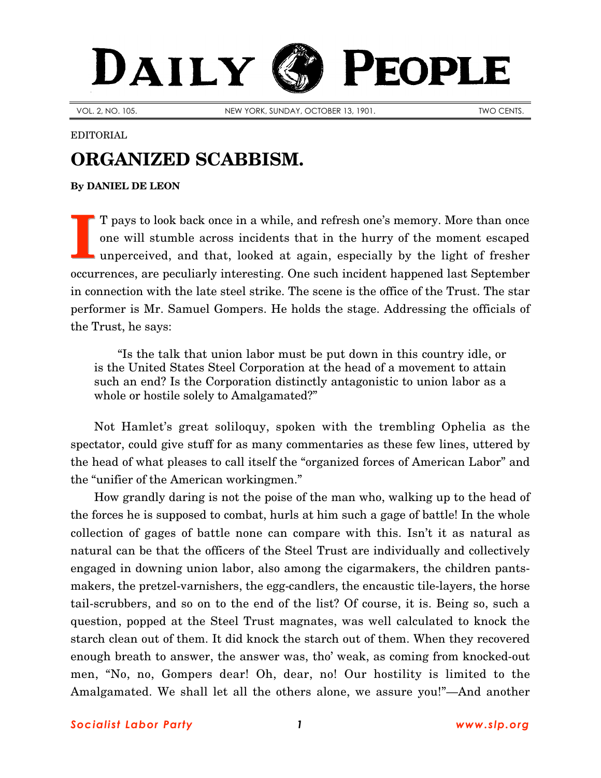## PEOPLE DAILY

VOL. 2, NO. 105. NEW YORK, SUNDAY, OCTOBER 13, 1901. NEW YORK, SUNDAY, OCTOBER 13, 1901.

## EDITORIAL

## **ORGANIZED SCABBISM.**

**By [DANIEL DE LEON](http://www.slp.org/De_Leon.htm)**

T pays to look back once in a while, and refresh one's memory. More than once one will stumble across incidents that in the hurry of the moment escaped unperceived, and that, looked at again, especially by the light of fresher occurrences, are peculiarly interesting. One such incident happened last September in connection with the late steel strike. The scene is the office of the Trust. The star performer is Mr. Samuel Gompers. He holds the stage. Addressing the officials of the Trust, he says: **I**

"Is the talk that union labor must be put down in this country idle, or is the United States Steel Corporation at the head of a movement to attain such an end? Is the Corporation distinctly antagonistic to union labor as a whole or hostile solely to Amalgamated?"

Not Hamlet's great soliloquy, spoken with the trembling Ophelia as the spectator, could give stuff for as many commentaries as these few lines, uttered by the head of what pleases to call itself the "organized forces of American Labor" and the "unifier of the American workingmen."

How grandly daring is not the poise of the man who, walking up to the head of the forces he is supposed to combat, hurls at him such a gage of battle! In the whole collection of gages of battle none can compare with this. Isn't it as natural as natural can be that the officers of the Steel Trust are individually and collectively engaged in downing union labor, also among the cigarmakers, the children pantsmakers, the pretzel-varnishers, the egg-candlers, the encaustic tile-layers, the horse tail-scrubbers, and so on to the end of the list? Of course, it is. Being so, such a question, popped at the Steel Trust magnates, was well calculated to knock the starch clean out of them. It did knock the starch out of them. When they recovered enough breath to answer, the answer was, tho' weak, as coming from knocked-out men, "No, no, Gompers dear! Oh, dear, no! Our hostility is limited to the Amalgamated. We shall let all the others alone, we assure you!"—And another